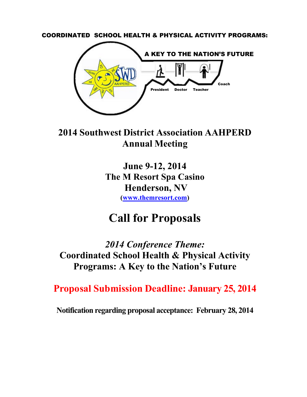<span id="page-0-0"></span>COORDINATED SCHOOL HEALTH & PHYSICAL ACTIVITY PROGRAMS:



**2014 Southwest District Association AAHPERD Annual Meeting**

> **June 9-12, 2014 The M Resort Spa Casino Henderson, NV [\(www.themresort.com\)](http://www.themresort.com/)**

# **Call for Proposals**

*2014 Conference Theme:* **Coordinated School Health & Physical Activity Programs: A Key to the Nation's Future**

**Proposal Submission Deadline: January 25, 2014**

**Notification regarding proposal acceptance: February 28, 2014**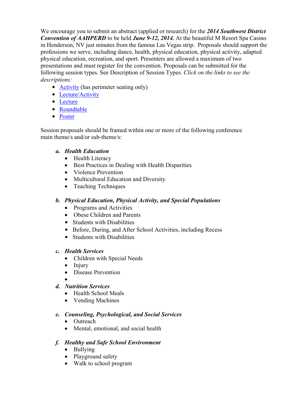We encourage you to submit an abstract (applied or research) for the *2014 Southwest District Convention of AAHPERD* to be held *June 9-12, 2014.* At the beautiful M Resort Spa Casino in Henderson, NV just minutes from the famous Las Vegas strip. Proposals should support the professions we serve, including dance, health, physical education, physical activity, adapted physical education, recreation, and sport. Presenters are allowed a maximum of two presentations and must register for the convention. Proposals can be submitted for the following session types. See Description of Session Types. *Click on the links to see the descriptions:*

- **[Activity](#page-3-0)** (has perimeter seating only)
- [Lecture/Activity](#page-4-0)
- [Lecture](#page-4-1)
- [Roundtable](#page-4-2)
- [Poster](#page-4-3)

Session proposals should be framed within one or more of the following conference main theme/s and/or sub-theme/s:

#### *a. Health Education*

- Health Literacy
- **•** Best Practices in Dealing with Health Disparities
- Violence Prevention
- Multicultural Education and Diversity
- $\bullet$  Teaching Techniques

#### *b. Physical Education, Physical Activity, and Special Populations*

- $\bullet$  Programs and Activities
- Obese Children and Parents
- Students with Disabilities
- Before, During, and After School Activities, including Recess
- Students with Disabilities

#### *c. Health Services*

- Children with Special Needs
- $\bullet$  Injury
- Disease Prevention
- $\bullet$ *d. Nutrition Services*
	- Health School Meals
	- Vending Machines

#### *e. Counseling, Psychological, and Social Services*

- Outreach
- Mental, emotional, and social health

#### *f. Healthy and Safe School Environment*

- $\bullet$  Bullying
- Playground safety
- Walk to school program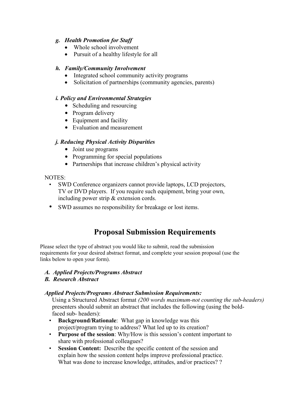#### *g. Health Promotion for Staff*

- Whole school involvement
- Pursuit of a healthy lifestyle for all

#### *h. Family/Community Involvement*

- Integrated school community activity programs
- Solicitation of partnerships (community agencies, parents)

#### *i. Policy and Environmental Strategies*

- Scheduling and resourcing
- Program delivery
- Equipment and facility
- Evaluation and measurement

#### *j. Reducing Physical Activity Disparities*

- Joint use programs
- Programming for special populations
- Partnerships that increase children's physical activity

#### NOTES:

- SWD Conference organizers cannot provide laptops, LCD projectors, TV or DVD players. If you require such equipment, bring your own, including power strip & extension cords.
- SWD assumes no responsibility for breakage or lost items.

## **Proposal Submission Requirements**

Please select the type of abstract you would like to submit, read the submission requirements for your desired abstract format, and complete your session proposal (use the links below to open your form).

#### *A. Applied Projects/Programs Abstract*

#### *B. Research Abstract*

#### *Applied Projects/Programs Abstract Submission Requirements:*

Using a Structured Abstract format *(200 words maximum-not counting the sub-headers)* presenters should submit an abstract that includes the following (using the boldfaced sub- headers):

- **Background/Rationale**: What gap in knowledge was this project/program trying to address? What led up to its creation?
- **Purpose of the session**: Why/How is this session's content important to share with professional colleagues?
- **Session Content:** Describe the specific content of the session and explain how the session content helps improve professional practice. What was done to increase knowledge, attitudes, and/or practices? ?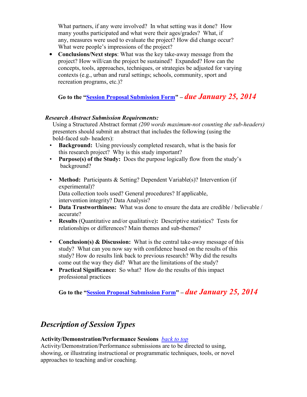What partners, if any were involved? In what setting was it done? How many youths participated and what were their ages/grades? What, if any, measures were used to evaluate the project? How did change occur? What were people's impressions of the project?

• **Conclusions/Next steps**: What was the key take-away message from the project? How will/can the project be sustained? Expanded? How can the concepts, tools, approaches, techniques, or strategies be adjusted for varying contexts (e.g., urban and rural settings; schools, community, sport and recreation programs, etc.)?

**Go to the "Session Proposal [Submission](http://www.aahperd.org/about/districts/southwest/upload/SWD-2014-Call-for-Proposals-form.pdf) Form" –** *due January 25, 2014*

#### *Research Abstract Submission Requirements:*

Using a Structured Abstract format *(200 words maximum-not counting the sub-headers)* presenters should submit an abstract that includes the following (using the bold-faced sub- headers):

- **Background:** Using previously completed research, what is the basis for this research project? Why is this study important?
- **Purpose(s) of the Study:** Does the purpose logically flow from the study's background?
- **Method:** Participants & Setting? Dependent Variable(s)? Intervention (if experimental)? Data collection tools used? General procedures? If applicable, intervention integrity? Data Analysis?
- **Data Trustworthiness:** What was done to ensure the data are credible / believable / accurate?
- **Results** (Quantitative and/or qualitative)**:** Descriptive statistics? Tests for relationships or differences? Main themes and sub-themes?
- **Conclusion(s) & Discussion:** What is the central take-away message of this study? What can you now say with confidence based on the results of this study? How do results link back to previous research? Why did the results come out the way they did? What are the limitations of the study?
- **Practical Significance:** So what? How do the results of this impact professional practices

**Go to the "Session Proposal [Submission Form"](http://www.aahperd.org/about/districts/southwest/upload/SWD-2014-Call-for-Proposals-form.pdf) –** *due January 25, 2014*

# *Description of Session Types*

#### <span id="page-3-0"></span>**Activity/Demonstration/Performance Sessions** *back [to top](#page-0-0)*

Activity/Demonstration/Performance submissions are to be directed to using, showing, or illustrating instructional or programmatic techniques, tools, or novel approaches to teaching and/or coaching.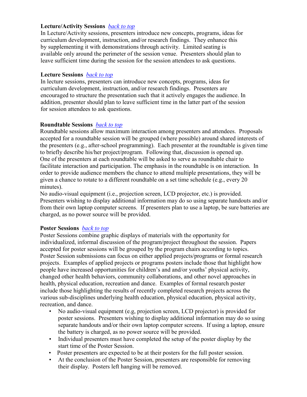#### <span id="page-4-0"></span>**Lecture/Activity Sessions** *back [to top](#page-0-0)*

In Lecture/Activity sessions, presenters introduce new concepts, programs, ideas for curriculum development, instruction, and/or research findings. They enhance this by supplementing it with demonstrations through activity. Limited seating is available only around the perimeter of the session venue. Presenters should plan to leave sufficient time during the session for the session attendees to ask questions.

#### <span id="page-4-1"></span>**Lecture Sessions** *back [to top](#page-0-0)*

In lecture sessions, presenters can introduce new concepts, programs, ideas for curriculum development, instruction, and/or research findings. Presenters are encouraged to structure the presentation such that it actively engages the audience. In addition, presenter should plan to leave sufficient time in the latter part of the session for session attendees to ask questions.

#### <span id="page-4-2"></span>**Roundtable Sessions** *back [to top](#page-0-0)*

Roundtable sessions allow maximum interaction among presenters and attendees. Proposals accepted for a roundtable session will be grouped (where possible) around shared interests of the presenters (e.g., after-school programming). Each presenter at the roundtable is given time to briefly describe his/her project/program. Following that, discussion is opened up. One of the presenters at each roundtable will be asked to serve as roundtable chair to facilitate interaction and participation. The emphasis in the roundtable is on interaction. In order to provide audience members the chance to attend multiple presentations, they will be given a chance to rotate to a different roundtable on a set time schedule (e.g., every 20 minutes).

No audio-visual equipment (i.e., projection screen, LCD projector, etc.) is provided. Presenters wishing to display additional information may do so using separate handouts and/or from their own laptop computer screens. If presenters plan to use a laptop, be sure batteries are charged, as no power source will be provided.

#### <span id="page-4-3"></span>**Poster Sessions** *[back](#page-0-0) to top*

Poster Sessions combine graphic displays of materials with the opportunity for individualized, informal discussion of the program/project throughout the session. Papers accepted for poster sessions will be grouped by the program chairs according to topics. Poster Session submissions can focus on either applied projects/programs or formal research projects. Examples of applied projects or programs posters include those that highlight how people have increased opportunities for children's and and/or youths' physical activity, changed other health behaviors, community collaborations, and other novel approaches in health, physical education, recreation and dance. Examples of formal research poster include those highlighting the results of recently completed research projects across the various sub-disciplines underlying health education, physical education, physical activity, recreation, and dance.

- No audio-visual equipment (e.g, projection screen, LCD projector) is provided for poster sessions. Presenters wishing to display additional information may do so using separate handouts and/or their own laptop computer screens. If using a laptop, ensure the battery is charged, as no power source will be provided.
- Individual presenters must have completed the setup of the poster display by the start time of the Poster Session.
- Poster presenters are expected to be at their posters for the full poster session.
- At the conclusion of the Poster Session, presenters are responsible for removing their display. Posters left hanging will be removed.